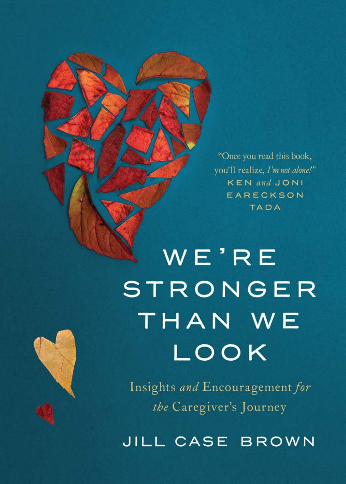"Once you read this book, you'll realize, I'm not alone!" **KEN** and JONI EARECKSON **TADA** 

WE'RE **STRONGER** THAN WE LOOK

Insights and Encouragement for the Caregiver's Journey

JILL CASE BROWN

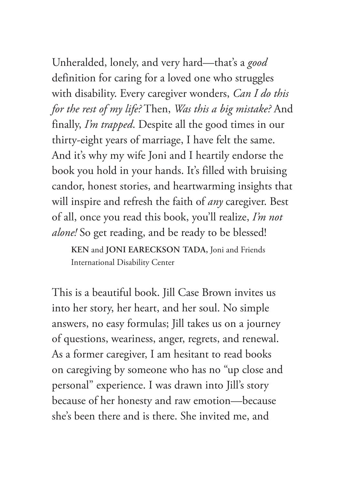Unheralded, lonely, and very hard—that's a *good* definition for caring for a loved one who struggles with disability. Every caregiver wonders, *Can I do this for the rest of my life?* Then, *Was this a big mistake?* And finally, *I'm trapped*. Despite all the good times in our thirty-eight years of marriage, I have felt the same. And it's why my wife Joni and I heartily endorse the book you hold in your hands. It's filled with bruising candor, honest stories, and heartwarming insights that will inspire and refresh the faith of *any* caregiver. Best of all, once you read this book, you'll realize, *I'm not alone!* So get reading, and be ready to be blessed!

**KEN** and **JONI EARECKSON TADA,** Joni and Friends International Disability Center

This is a beautiful book. Jill Case Brown invites us into her story, her heart, and her soul. No simple answers, no easy formulas; Jill takes us on a journey of questions, weariness, anger, regrets, and renewal. As a former caregiver, I am hesitant to read books on caregiving by someone who has no "up close and personal" experience. I was drawn into Jill's story because of her honesty and raw emotion—because she's been there and is there. She invited me, and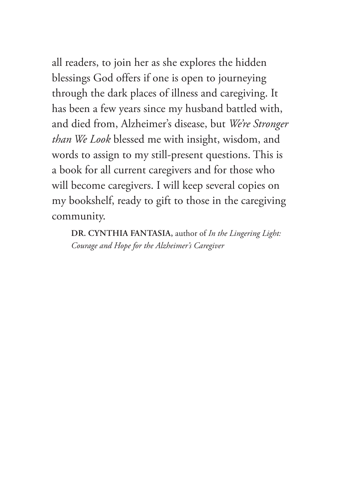all readers, to join her as she explores the hidden blessings God offers if one is open to journeying through the dark places of illness and caregiving. It has been a few years since my husband battled with, and died from, Alzheimer's disease, but *We're Stronger than We Look* blessed me with insight, wisdom, and words to assign to my still-present questions. This is a book for all current caregivers and for those who will become caregivers. I will keep several copies on my bookshelf, ready to gift to those in the caregiving community.

**DR. CYNTHIA FANTASIA,** author of *In the Lingering Light: Courage and Hope for the Alzheimer's Caregiver*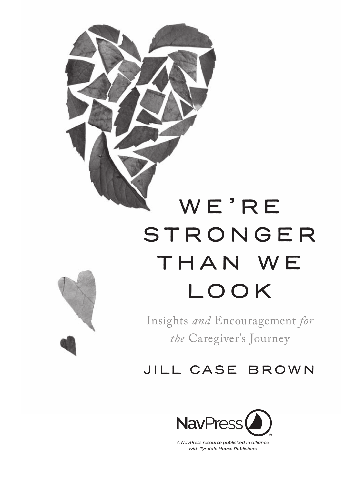

# WE'RE **STRONGER** THAN WE look

Insights *and* Encouragement *for the* Caregiver's Journey

## jill case brown



*A NavPress resource published in alliance with Tyndale House Publishers*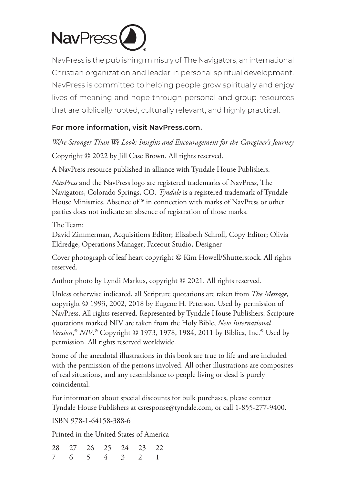

NavPress is the publishing ministry of The Navigators, an international Christian organization and leader in personal spiritual development. NavPress is committed to helping people grow spiritually and enjoy lives of meaning and hope through personal and group resources that are biblically rooted, culturally relevant, and highly practical.

#### **For more information, visit NavPress.com.**

*We're Stronger Than We Look: Insights and Encouragement for the Caregiver's Journey* Copyright © 2022 by Jill Case Brown. All rights reserved.

A NavPress resource published in alliance with Tyndale House Publishers.

*NavPress* and the NavPress logo are registered trademarks of NavPress, The Navigators, Colorado Springs, CO. *Tyndale* is a registered trademark of Tyndale House Ministries. Absence of ® in connection with marks of NavPress or other parties does not indicate an absence of registration of those marks.

The Team:

David Zimmerman, Acquisitions Editor; Elizabeth Schroll, Copy Editor; Olivia Eldredge, Operations Manager; Faceout Studio, Designer

Cover photograph of leaf heart copyright © Kim Howell/Shutterstock. All rights reserved.

Author photo by Lyndi Markus, copyright © 2021. All rights reserved.

Unless otherwise indicated, all Scripture quotations are taken from *The Message*, copyright © 1993, 2002, 2018 by Eugene H. Peterson. Used by permission of NavPress. All rights reserved. Represented by Tyndale House Publishers. Scripture quotations marked NIV are taken from the Holy Bible, *New International Version*,® *NIV*. ® Copyright © 1973, 1978, 1984, 2011 by Biblica, Inc.® Used by permission. All rights reserved worldwide.

Some of the anecdotal illustrations in this book are true to life and are included with the permission of the persons involved. All other illustrations are composites of real situations, and any resemblance to people living or dead is purely coincidental.

For information about special discounts for bulk purchases, please contact Tyndale House Publishers at csresponse@tyndale.com, or call 1-855-277-9400.

ISBN 978-1-64158-388-6

Printed in the United States of America

|  | 28 27 26 25 24 23 22 |  |  |
|--|----------------------|--|--|
|  | 7 6 5 4 3 2 1        |  |  |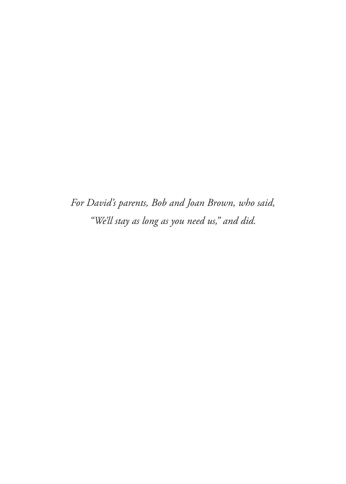*For David's parents, Bob and Joan Brown, who said, "We'll stay as long as you need us," and did.*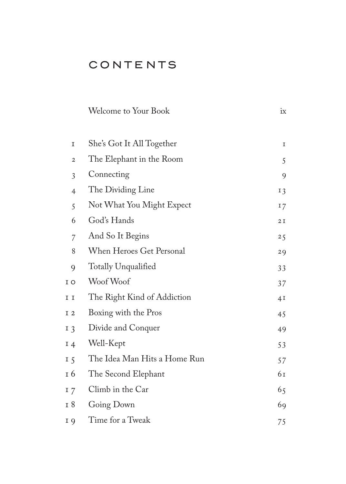### **CONTENTS**

| She's Got It All Together    | 1   |
|------------------------------|-----|
| The Elephant in the Room     | 5   |
| Connecting                   | 9   |
| The Dividing Line            | 13  |
| Not What You Might Expect    | 17  |
| God's Hands                  | 2I  |
| And So It Begins             | 2,5 |
| When Heroes Get Personal     | 29  |
| Totally Unqualified          | 33  |
| Woof Woof                    | 37  |
| The Right Kind of Addiction  | 4I  |
| Boxing with the Pros         | 45  |
| Divide and Conquer           | 49  |
| Well-Kept                    | 53  |
| The Idea Man Hits a Home Run | 57  |
| The Second Elephant          | 61  |
| Climb in the Car             | 65  |
| Going Down                   | 69  |
| Time for a Tweak             | 75  |
|                              |     |

Welcome to Your Book ix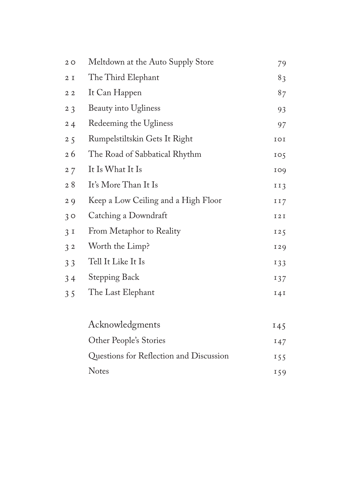| 20             | Meltdown at the Auto Supply Store       | 79    |
|----------------|-----------------------------------------|-------|
| 2I             | The Third Elephant                      | 83    |
| 22             | It Can Happen                           | 87    |
| 2 <sub>3</sub> | Beauty into Ugliness                    | 93    |
| 24             | Redeeming the Ugliness                  | 97    |
| 25             | Rumpelstiltskin Gets It Right           | IOI   |
| 26             | The Road of Sabbatical Rhythm           | 105   |
| 27             | It Is What It Is                        | 109   |
| 28             | It's More Than It Is                    | II3   |
| 29             | Keep a Low Ceiling and a High Floor     | 117   |
| 30             | Catching a Downdraft                    | I 2 I |
| 3I             | From Metaphor to Reality                | 125   |
| 32             | Worth the Limp?                         | 129   |
| 33             | Tell It Like It Is                      | 133   |
| 34             | Stepping Back                           | 137   |
| 35             | The Last Elephant                       | 141   |
|                |                                         |       |
|                | Acknowledgments                         | 145   |
|                | Other People's Stories                  | 147   |
|                | Questions for Reflection and Discussion | 155   |

Notes 159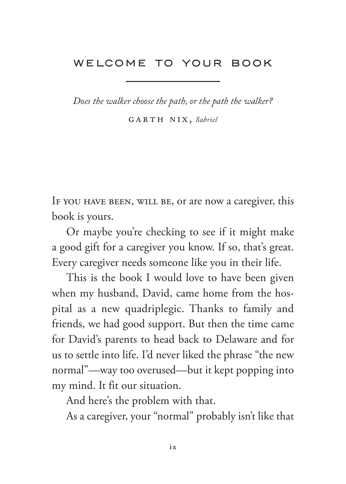#### <span id="page-9-0"></span>WELCOME TO YOUR BOOK

*Does the walker choose the path, or the path the walker?*

garth nix, *Sabriel*

IF YOU HAVE BEEN, WILL BE, or are now a caregiver, this book is yours.

Or maybe you're checking to see if it might make a good gift for a caregiver you know. If so, that's great. Every caregiver needs someone like you in their life.

This is the book I would love to have been given when my husband, David, came home from the hospital as a new quadriplegic. Thanks to family and friends, we had good support. But then the time came for David's parents to head back to Delaware and for us to settle into life. I'd never liked the phrase "the new normal"—way too overused—but it kept popping into my mind. It fit our situation.

And here's the problem with that.

As a caregiver, your "normal" probably isn't like that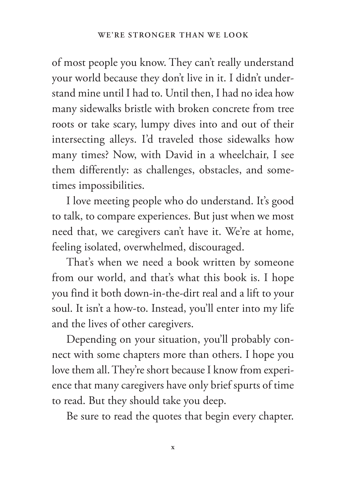of most people you know. They can't really understand your world because they don't live in it. I didn't understand mine until I had to. Until then, I had no idea how many sidewalks bristle with broken concrete from tree roots or take scary, lumpy dives into and out of their intersecting alleys. I'd traveled those sidewalks how many times? Now, with David in a wheelchair, I see them differently: as challenges, obstacles, and sometimes impossibilities.

I love meeting people who do understand. It's good to talk, to compare experiences. But just when we most need that, we caregivers can't have it. We're at home, feeling isolated, overwhelmed, discouraged.

That's when we need a book written by someone from our world, and that's what this book is. I hope you find it both down-in-the-dirt real and a lift to your soul. It isn't a how-to. Instead, you'll enter into my life and the lives of other caregivers.

Depending on your situation, you'll probably connect with some chapters more than others. I hope you love them all. They're short because I know from experience that many caregivers have only brief spurts of time to read. But they should take you deep.

Be sure to read the quotes that begin every chapter.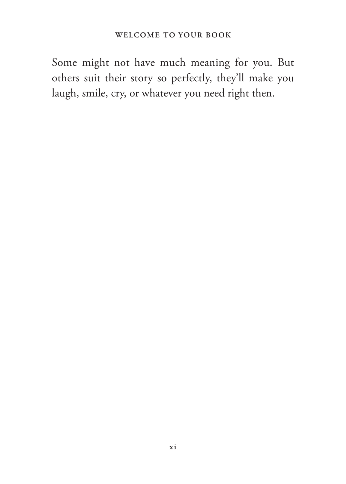Some might not have much meaning for you. But others suit their story so perfectly, they'll make you laugh, smile, cry, or whatever you need right then.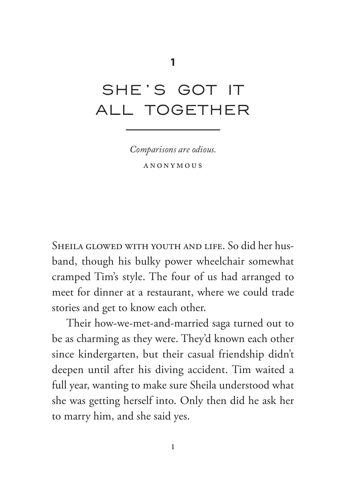## <span id="page-13-0"></span>SHE'S GOT IT ALL TOGETHER

*Comparisons are odious.* anonymous

Sheila glowed with youth and life. So did her husband, though his bulky power wheelchair somewhat cramped Tim's style. The four of us had arranged to meet for dinner at a restaurant, where we could trade stories and get to know each other.

Their how-we-met-and-married saga turned out to be as charming as they were. They'd known each other since kindergarten, but their casual friendship didn't deepen until after his diving accident. Tim waited a full year, wanting to make sure Sheila understood what she was getting herself into. Only then did he ask her to marry him, and she said yes.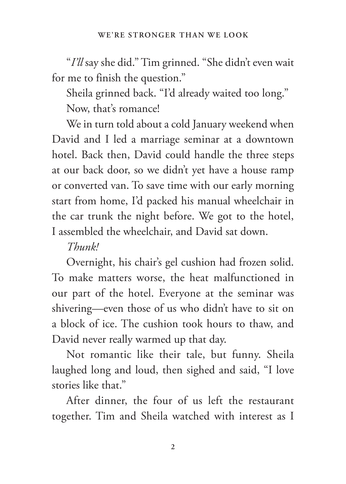"*I'll* say she did." Tim grinned. "She didn't even wait for me to finish the question."

Sheila grinned back. "I'd already waited too long." Now, that's romance!

We in turn told about a cold January weekend when David and I led a marriage seminar at a downtown hotel. Back then, David could handle the three steps at our back door, so we didn't yet have a house ramp or converted van. To save time with our early morning start from home, I'd packed his manual wheelchair in the car trunk the night before. We got to the hotel, I assembled the wheelchair, and David sat down.

### *Thunk!*

Overnight, his chair's gel cushion had frozen solid. To make matters worse, the heat malfunctioned in our part of the hotel. Everyone at the seminar was shivering—even those of us who didn't have to sit on a block of ice. The cushion took hours to thaw, and David never really warmed up that day.

Not romantic like their tale, but funny. Sheila laughed long and loud, then sighed and said, "I love stories like that."

After dinner, the four of us left the restaurant together. Tim and Sheila watched with interest as I